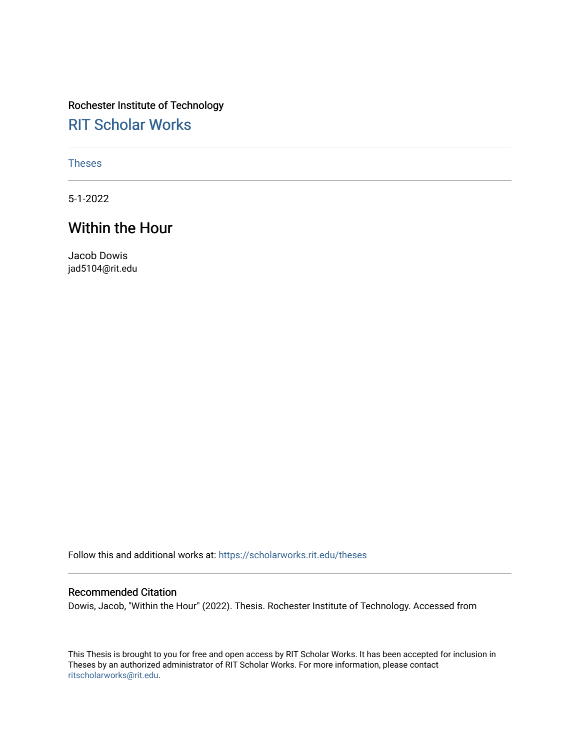Rochester Institute of Technology [RIT Scholar Works](https://scholarworks.rit.edu/)

[Theses](https://scholarworks.rit.edu/theses) 

5-1-2022

### Within the Hour

Jacob Dowis jad5104@rit.edu

Follow this and additional works at: [https://scholarworks.rit.edu/theses](https://scholarworks.rit.edu/theses?utm_source=scholarworks.rit.edu%2Ftheses%2F11100&utm_medium=PDF&utm_campaign=PDFCoverPages) 

#### Recommended Citation

Dowis, Jacob, "Within the Hour" (2022). Thesis. Rochester Institute of Technology. Accessed from

This Thesis is brought to you for free and open access by RIT Scholar Works. It has been accepted for inclusion in Theses by an authorized administrator of RIT Scholar Works. For more information, please contact [ritscholarworks@rit.edu](mailto:ritscholarworks@rit.edu).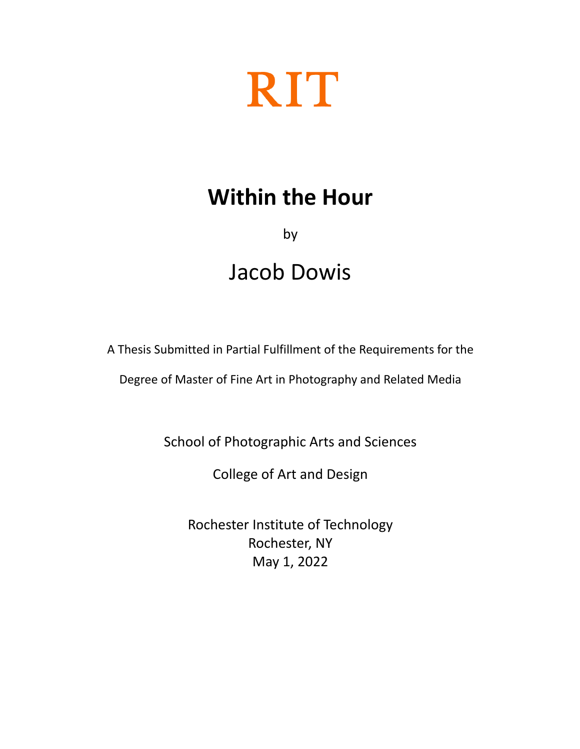

# **Within the Hour**

by

## Jacob Dowis

A Thesis Submitted in Partial Fulfillment of the Requirements for the

Degree of Master of Fine Art in Photography and Related Media

School of Photographic Arts and Sciences

College of Art and Design

Rochester Institute of Technology Rochester, NY May 1, 2022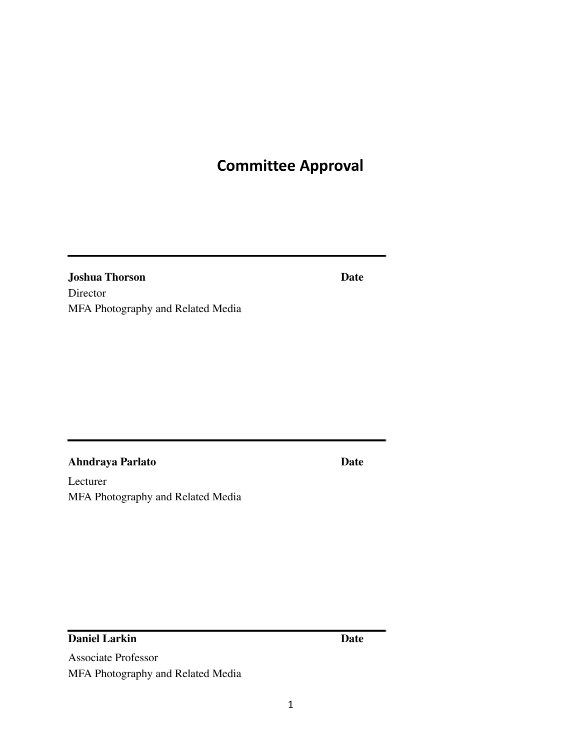## **Committee Approval**

**Joshua Thorson Date** Director MFA Photography and Related Media

**Ahndraya Parlato Date** Lecturer

MFA Photography and Related Media

**Daniel Larkin Date** 

Associate Professor MFA Photography and Related Media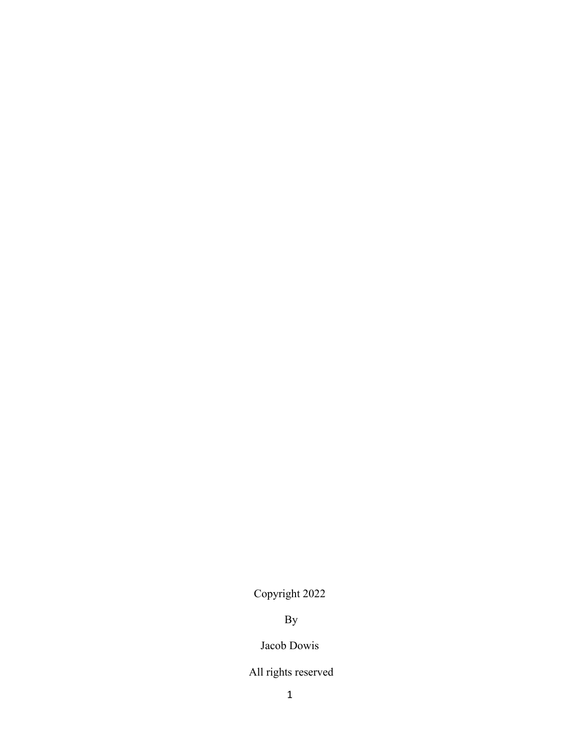Copyright 2022

By

Jacob Dowis

All rights reserved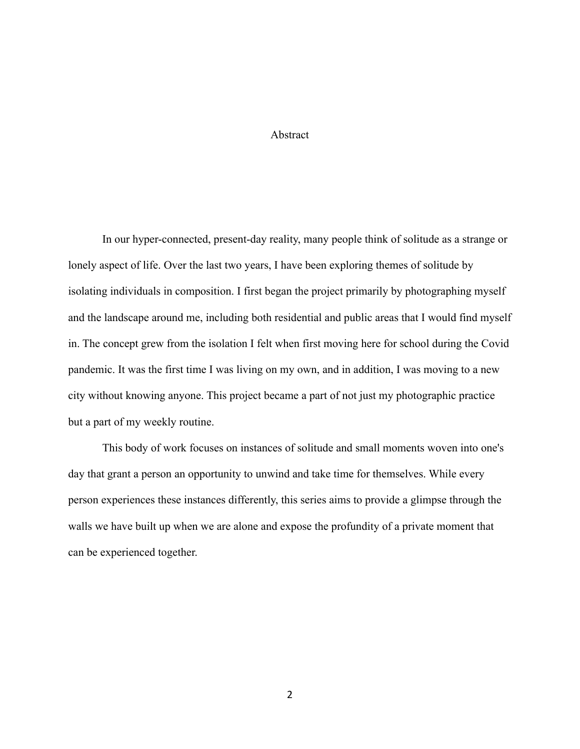### Abstract

In our hyper-connected, present-day reality, many people think of solitude as a strange or lonely aspect of life. Over the last two years, I have been exploring themes of solitude by isolating individuals in composition. I first began the project primarily by photographing myself and the landscape around me, including both residential and public areas that I would find myself in. The concept grew from the isolation I felt when first moving here for school during the Covid pandemic. It was the first time I was living on my own, and in addition, I was moving to a new city without knowing anyone. This project became a part of not just my photographic practice but a part of my weekly routine.

This body of work focuses on instances of solitude and small moments woven into one's day that grant a person an opportunity to unwind and take time for themselves. While every person experiences these instances differently, this series aims to provide a glimpse through the walls we have built up when we are alone and expose the profundity of a private moment that can be experienced together.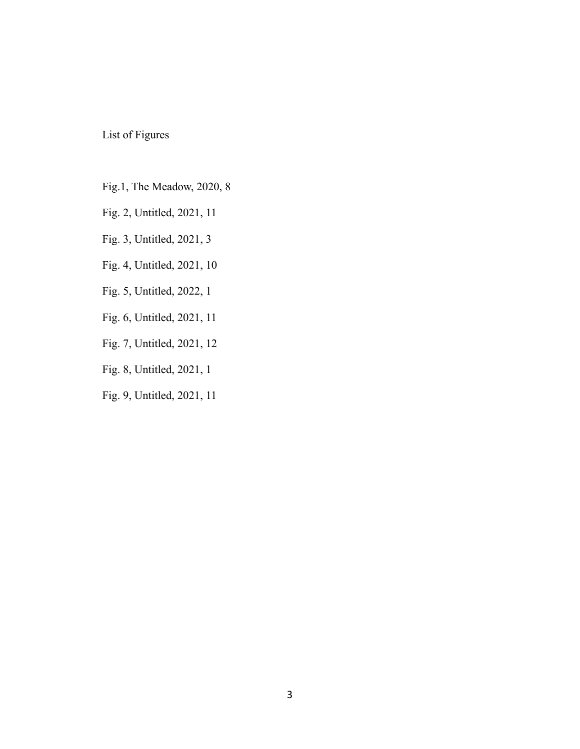### List of Figures

- Fig.1, The Meadow, 2020, 8
- Fig. 2, Untitled, 2021, 11
- Fig. 3, Untitled, 2021, 3
- Fig. 4, Untitled, 2021, 10
- Fig. 5, Untitled, 2022, 1
- Fig. 6, Untitled, 2021, 11
- Fig. 7, Untitled, 2021, 12
- Fig. 8, Untitled, 2021, 1
- Fig. 9, Untitled, 2021, 11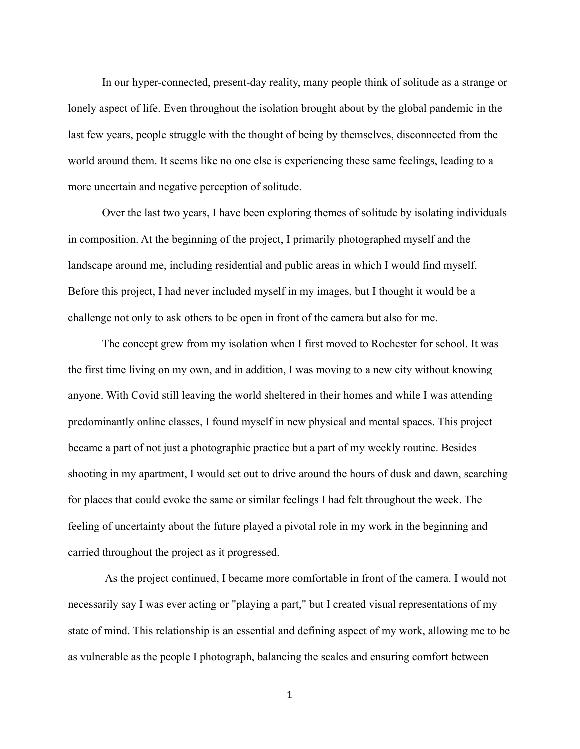In our hyper-connected, present-day reality, many people think of solitude as a strange or lonely aspect of life. Even throughout the isolation brought about by the global pandemic in the last few years, people struggle with the thought of being by themselves, disconnected from the world around them. It seems like no one else is experiencing these same feelings, leading to a more uncertain and negative perception of solitude.

Over the last two years, I have been exploring themes of solitude by isolating individuals in composition. At the beginning of the project, I primarily photographed myself and the landscape around me, including residential and public areas in which I would find myself. Before this project, I had never included myself in my images, but I thought it would be a challenge not only to ask others to be open in front of the camera but also for me.

The concept grew from my isolation when I first moved to Rochester for school. It was the first time living on my own, and in addition, I was moving to a new city without knowing anyone. With Covid still leaving the world sheltered in their homes and while I was attending predominantly online classes, I found myself in new physical and mental spaces. This project became a part of not just a photographic practice but a part of my weekly routine. Besides shooting in my apartment, I would set out to drive around the hours of dusk and dawn, searching for places that could evoke the same or similar feelings I had felt throughout the week. The feeling of uncertainty about the future played a pivotal role in my work in the beginning and carried throughout the project as it progressed.

As the project continued, I became more comfortable in front of the camera. I would not necessarily say I was ever acting or "playing a part," but I created visual representations of my state of mind. This relationship is an essential and defining aspect of my work, allowing me to be as vulnerable as the people I photograph, balancing the scales and ensuring comfort between

1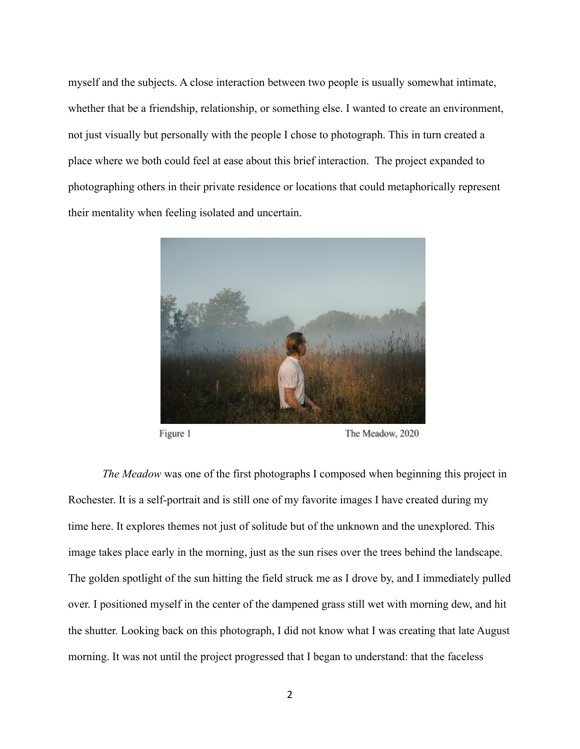myself and the subjects. A close interaction between two people is usually somewhat intimate, whether that be a friendship, relationship, or something else. I wanted to create an environment, not just visually but personally with the people I chose to photograph. This in turn created a place where we both could feel at ease about this brief interaction. The project expanded to photographing others in their private residence or locations that could metaphorically represent their mentality when feeling isolated and uncertain.



Figure 1

The Meadow, 2020

*The Meadow* was one of the first photographs I composed when beginning this project in Rochester. It is a self-portrait and is still one of my favorite images I have created during my time here. It explores themes not just of solitude but of the unknown and the unexplored. This image takes place early in the morning, just as the sun rises over the trees behind the landscape. The golden spotlight of the sun hitting the field struck me as I drove by, and I immediately pulled over. I positioned myself in the center of the dampened grass still wet with morning dew, and hit the shutter. Looking back on this photograph, I did not know what I was creating that late August morning. It was not until the project progressed that I began to understand: that the faceless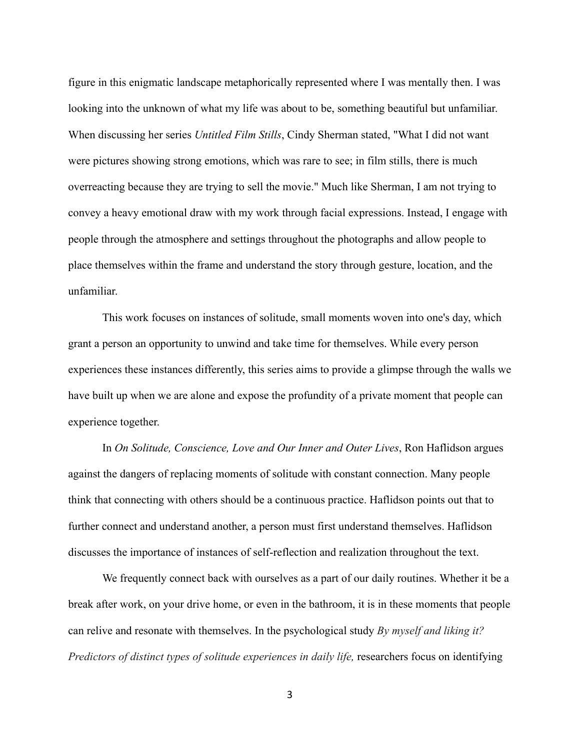figure in this enigmatic landscape metaphorically represented where I was mentally then. I was looking into the unknown of what my life was about to be, something beautiful but unfamiliar. When discussing her series *Untitled Film Stills*, Cindy Sherman stated, "What I did not want were pictures showing strong emotions, which was rare to see; in [film stills,](https://www.moma.org/learn/moma_learning/glossary/) there is much overreacting because they are trying to sell the movie." Much like Sherman, I am not trying to convey a heavy emotional draw with my work through facial expressions. Instead, I engage with people through the atmosphere and settings throughout the photographs and allow people to place themselves within the frame and understand the story through gesture, location, and the unfamiliar.

This work focuses on instances of solitude, small moments woven into one's day, which grant a person an opportunity to unwind and take time for themselves. While every person experiences these instances differently, this series aims to provide a glimpse through the walls we have built up when we are alone and expose the profundity of a private moment that people can experience together.

In *On Solitude, Conscience, Love and Our Inner and Outer Lives*, Ron Haflidson argues against the dangers of replacing moments of solitude with constant connection. Many people think that connecting with others should be a continuous practice. Haflidson points out that to further connect and understand another, a person must first understand themselves. Haflidson discusses the importance of instances of self-reflection and realization throughout the text.

We frequently connect back with ourselves as a part of our daily routines. Whether it be a break after work, on your drive home, or even in the bathroom, it is in these moments that people can relive and resonate with themselves. In the psychological study *By myself and liking it? Predictors of distinct types of solitude experiences in daily life,* researchers focus on identifying

3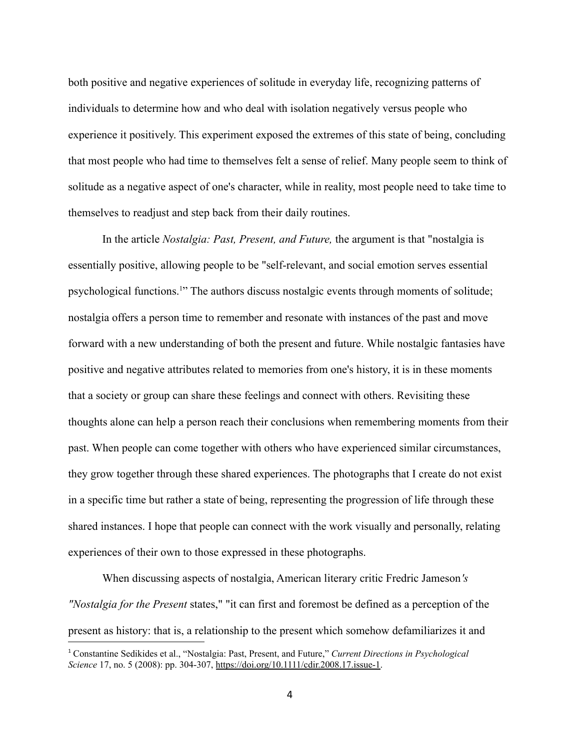both positive and negative experiences of solitude in everyday life, recognizing patterns of individuals to determine how and who deal with isolation negatively versus people who experience it positively. This experiment exposed the extremes of this state of being, concluding that most people who had time to themselves felt a sense of relief. Many people seem to think of solitude as a negative aspect of one's character, while in reality, most people need to take time to themselves to readjust and step back from their daily routines.

In the article *Nostalgia: Past, Present, and Future,* the argument is that "nostalgia is essentially positive, allowing people to be "self-relevant, and social emotion serves essential psychological functions.<sup>1</sup>" The authors discuss nostalgic events through moments of solitude; nostalgia offers a person time to remember and resonate with instances of the past and move forward with a new understanding of both the present and future. While nostalgic fantasies have positive and negative attributes related to memories from one's history, it is in these moments that a society or group can share these feelings and connect with others. Revisiting these thoughts alone can help a person reach their conclusions when remembering moments from their past. When people can come together with others who have experienced similar circumstances, they grow together through these shared experiences. The photographs that I create do not exist in a specific time but rather a state of being, representing the progression of life through these shared instances. I hope that people can connect with the work visually and personally, relating experiences of their own to those expressed in these photographs.

When discussing aspects of nostalgia, American literary critic Fredric Jameson*'s "Nostalgia for the Present* states," "it can first and foremost be defined as a perception of the present as history: that is, a relationship to the present which somehow defamiliarizes it and

<sup>1</sup> Constantine Sedikides et al., "Nostalgia: Past, Present, and Future," *Current Directions in Psychological Science* 17, no. 5 (2008): pp. 304-307, [https://doi.org/10.1111/cdir.2008.17.issue-1.](https://doi.org/10.1111/cdir.2008.17.issue-1)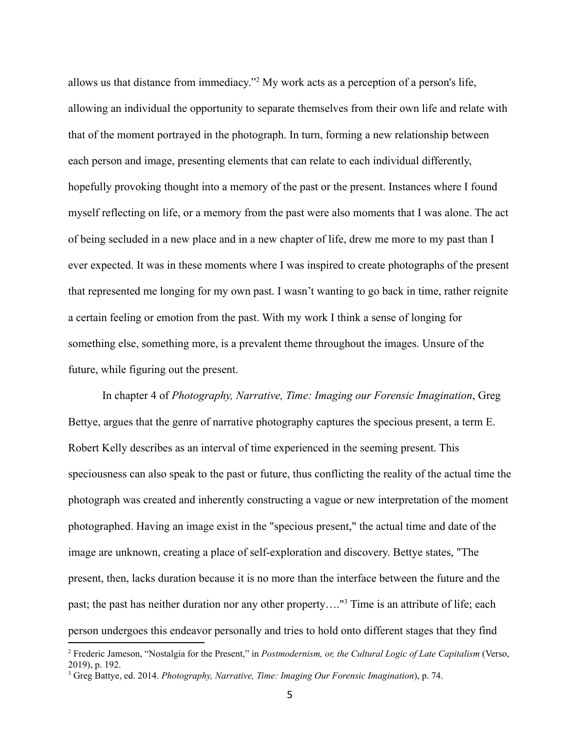allows us that distance from immediacy."<sup>2</sup> My work acts as a perception of a person's life, allowing an individual the opportunity to separate themselves from their own life and relate with that of the moment portrayed in the photograph. In turn, forming a new relationship between each person and image, presenting elements that can relate to each individual differently, hopefully provoking thought into a memory of the past or the present. Instances where I found myself reflecting on life, or a memory from the past were also moments that I was alone. The act of being secluded in a new place and in a new chapter of life, drew me more to my past than I ever expected. It was in these moments where I was inspired to create photographs of the present that represented me longing for my own past. I wasn't wanting to go back in time, rather reignite a certain feeling or emotion from the past. With my work I think a sense of longing for something else, something more, is a prevalent theme throughout the images. Unsure of the future, while figuring out the present.

In chapter 4 of *Photography, Narrative, Time: Imaging our Forensic Imagination*, Greg Bettye, argues that the genre of narrative photography captures the specious present, a term E. Robert Kelly describes as an interval of time experienced in the seeming present. This speciousness can also speak to the past or future, thus conflicting the reality of the actual time the photograph was created and inherently constructing a vague or new interpretation of the moment photographed. Having an image exist in the "specious present," the actual time and date of the image are unknown, creating a place of self-exploration and discovery. Bettye states, "The present, then, lacks duration because it is no more than the interface between the future and the past; the past has neither duration nor any other property…."<sup>3</sup> Time is an attribute of life; each person undergoes this endeavor personally and tries to hold onto different stages that they find

<sup>2</sup> Frederic Jameson, "Nostalgia for the Present," in *Postmodernism, or, the Cultural Logic of Late Capitalism* (Verso, 2019), p. 192.

<sup>3</sup> Greg Battye, ed. 2014. *Photography, Narrative, Time: Imaging Our Forensic Imagination*), p. 74.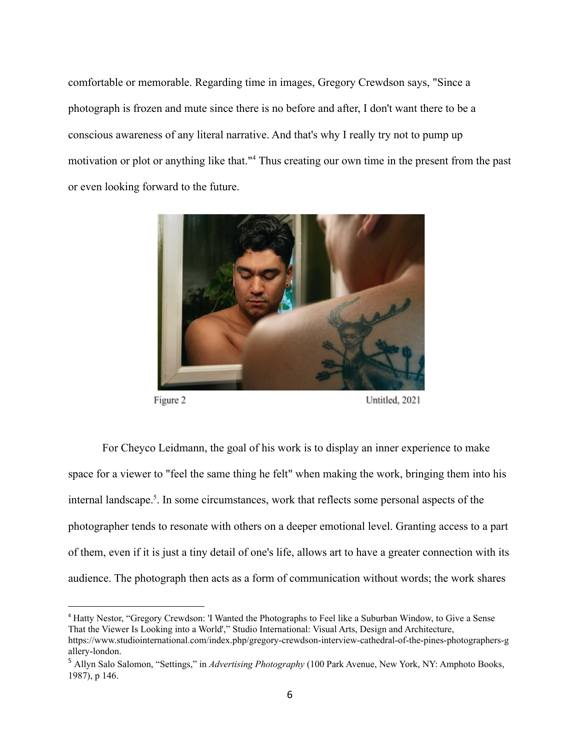comfortable or memorable. Regarding time in images, Gregory Crewdson says, "Since a photograph is frozen and mute since there is no before and after, I don't want there to be a conscious awareness of any literal narrative. And that's why I really try not to pump up motivation or plot or anything like that."<sup>4</sup> Thus creating our own time in the present from the past or even looking forward to the future.



Figure 2

Untitled, 2021

For Cheyco Leidmann, the goal of his work is to display an inner experience to make space for a viewer to "feel the same thing he felt" when making the work, bringing them into his internal landscape.<sup>5</sup>. In some circumstances, work that reflects some personal aspects of the photographer tends to resonate with others on a deeper emotional level. Granting access to a part of them, even if it is just a tiny detail of one's life, allows art to have a greater connection with its audience. The photograph then acts as a form of communication without words; the work shares

<sup>4</sup> Hatty Nestor, "Gregory Crewdson: 'I Wanted the Photographs to Feel like a Suburban Window, to Give a Sense That the Viewer Is Looking into a World'," Studio International: Visual Arts, Design and Architecture, https://www.studiointernational.com/index.php/gregory-crewdson-interview-cathedral-of-the-pines-photographers-g allery-london.

<sup>5</sup> Allyn Salo Salomon, "Settings," in *Advertising Photography* (100 Park Avenue, New York, NY: Amphoto Books, 1987), p 146.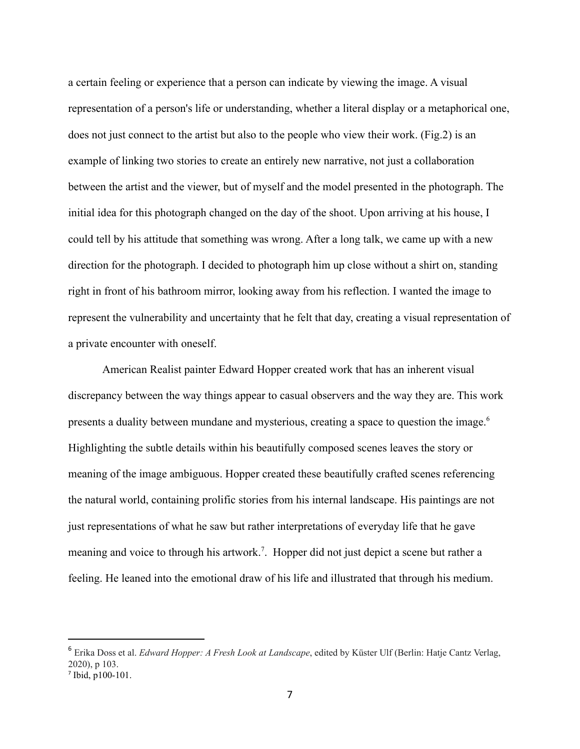a certain feeling or experience that a person can indicate by viewing the image. A visual representation of a person's life or understanding, whether a literal display or a metaphorical one, does not just connect to the artist but also to the people who view their work. (Fig.2) is an example of linking two stories to create an entirely new narrative, not just a collaboration between the artist and the viewer, but of myself and the model presented in the photograph. The initial idea for this photograph changed on the day of the shoot. Upon arriving at his house, I could tell by his attitude that something was wrong. After a long talk, we came up with a new direction for the photograph. I decided to photograph him up close without a shirt on, standing right in front of his bathroom mirror, looking away from his reflection. I wanted the image to represent the vulnerability and uncertainty that he felt that day, creating a visual representation of a private encounter with oneself.

American Realist painter Edward Hopper created work that has an inherent visual discrepancy between the way things appear to casual observers and the way they are. This work presents a duality between mundane and mysterious, creating a space to question the image.<sup>6</sup> Highlighting the subtle details within his beautifully composed scenes leaves the story or meaning of the image ambiguous. Hopper created these beautifully crafted scenes referencing the natural world, containing prolific stories from his internal landscape. His paintings are not just representations of what he saw but rather interpretations of everyday life that he gave meaning and voice to through his artwork.<sup>7</sup>. Hopper did not just depict a scene but rather a feeling. He leaned into the emotional draw of his life and illustrated that through his medium.

<sup>6</sup> Erika Doss et al. *Edward Hopper: A Fresh Look at Landscape*, edited by Küster Ulf (Berlin: Hatje Cantz Verlag, 2020), p 103.

<sup>7</sup> Ibid, p100-101.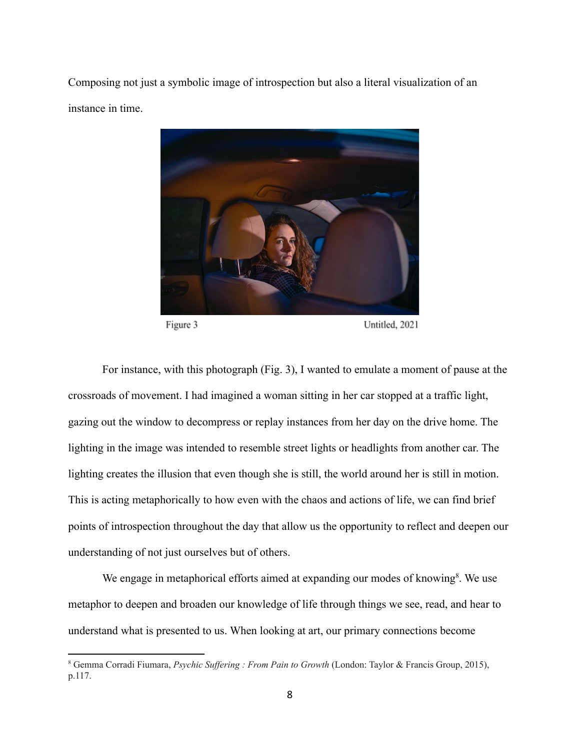Composing not just a symbolic image of introspection but also a literal visualization of an instance in time.



Figure 3

Untitled, 2021

For instance, with this photograph (Fig. 3), I wanted to emulate a moment of pause at the crossroads of movement. I had imagined a woman sitting in her car stopped at a traffic light, gazing out the window to decompress or replay instances from her day on the drive home. The lighting in the image was intended to resemble street lights or headlights from another car. The lighting creates the illusion that even though she is still, the world around her is still in motion. This is acting metaphorically to how even with the chaos and actions of life, we can find brief points of introspection throughout the day that allow us the opportunity to reflect and deepen our understanding of not just ourselves but of others.

We engage in metaphorical efforts aimed at expanding our modes of knowing<sup>8</sup>. We use metaphor to deepen and broaden our knowledge of life through things we see, read, and hear to understand what is presented to us. When looking at art, our primary connections become

<sup>&</sup>lt;sup>8</sup> Gemma Corradi Fiumara, *Psychic Suffering* : *From Pain to Growth* (London: Taylor & Francis Group, 2015), p.117.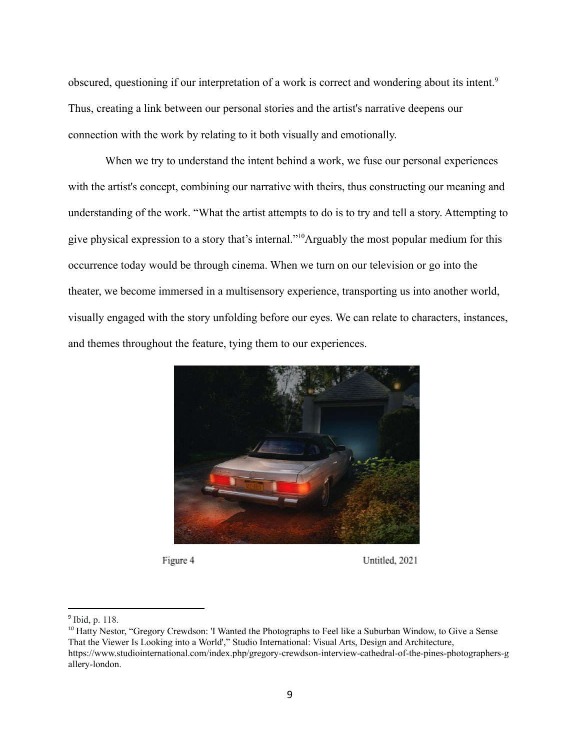obscured, questioning if our interpretation of a work is correct and wondering about its intent.<sup>9</sup> Thus, creating a link between our personal stories and the artist's narrative deepens our connection with the work by relating to it both visually and emotionally.

When we try to understand the intent behind a work, we fuse our personal experiences with the artist's concept, combining our narrative with theirs, thus constructing our meaning and understanding of the work. "What the artist attempts to do is to try and tell a story. Attempting to give physical expression to a story that's internal."<sup>10</sup>Arguably the most popular medium for this occurrence today would be through cinema. When we turn on our television or go into the theater, we become immersed in a multisensory experience, transporting us into another world, visually engaged with the story unfolding before our eyes. We can relate to characters, instances, and themes throughout the feature, tying them to our experiences.



Figure 4

Untitled, 2021

<sup>&</sup>lt;sup>9</sup> Ibid, p. 118.

<sup>&</sup>lt;sup>10</sup> Hatty Nestor, "Gregory Crewdson: 'I Wanted the Photographs to Feel like a Suburban Window, to Give a Sense That the Viewer Is Looking into a World'," Studio International: Visual Arts, Design and Architecture, https://www.studiointernational.com/index.php/gregory-crewdson-interview-cathedral-of-the-pines-photographers-g allery-london.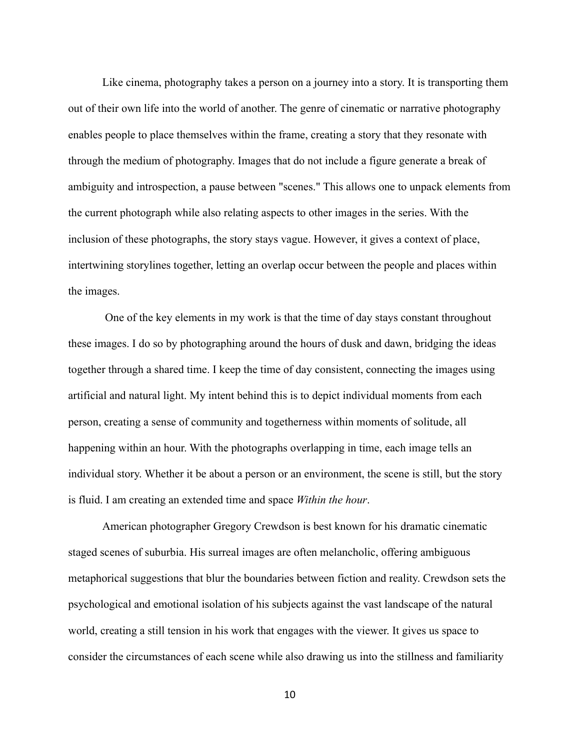Like cinema, photography takes a person on a journey into a story. It is transporting them out of their own life into the world of another. The genre of cinematic or narrative photography enables people to place themselves within the frame, creating a story that they resonate with through the medium of photography. Images that do not include a figure generate a break of ambiguity and introspection, a pause between "scenes." This allows one to unpack elements from the current photograph while also relating aspects to other images in the series. With the inclusion of these photographs, the story stays vague. However, it gives a context of place, intertwining storylines together, letting an overlap occur between the people and places within the images.

One of the key elements in my work is that the time of day stays constant throughout these images. I do so by photographing around the hours of dusk and dawn, bridging the ideas together through a shared time. I keep the time of day consistent, connecting the images using artificial and natural light. My intent behind this is to depict individual moments from each person, creating a sense of community and togetherness within moments of solitude, all happening within an hour. With the photographs overlapping in time, each image tells an individual story. Whether it be about a person or an environment, the scene is still, but the story is fluid. I am creating an extended time and space *Within the hour*.

American photographer Gregory Crewdson is best known for his dramatic cinematic staged scenes of suburbia. His surreal images are often melancholic, offering ambiguous metaphorical suggestions that blur the boundaries between fiction and reality. Crewdson sets the psychological and emotional isolation of his subjects against the vast landscape of the natural world, creating a still tension in his work that engages with the viewer. It gives us space to consider the circumstances of each scene while also drawing us into the stillness and familiarity

10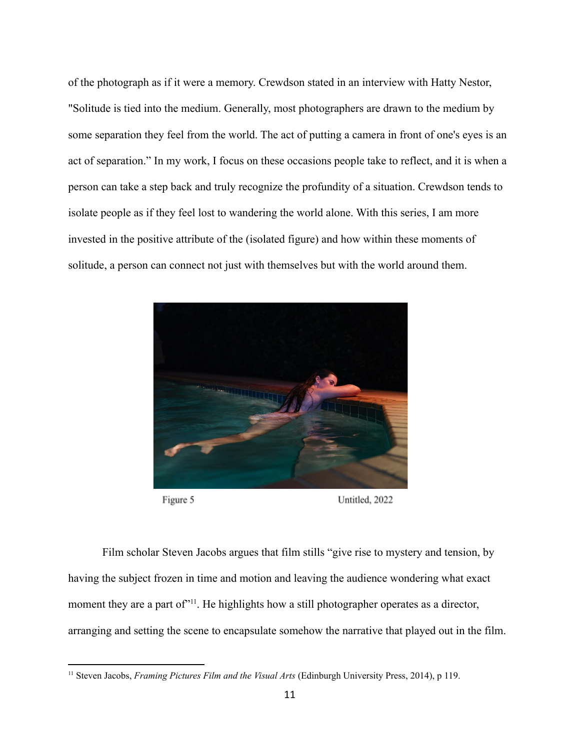of the photograph as if it were a memory. Crewdson stated in an interview with Hatty Nestor, "Solitude is tied into the medium. Generally, most photographers are drawn to the medium by some separation they feel from the world. The act of putting a camera in front of one's eyes is an act of separation." In my work, I focus on these occasions people take to reflect, and it is when a person can take a step back and truly recognize the profundity of a situation. Crewdson tends to isolate people as if they feel lost to wandering the world alone. With this series, I am more invested in the positive attribute of the (isolated figure) and how within these moments of solitude, a person can connect not just with themselves but with the world around them.



Figure 5

Untitled, 2022

Film scholar Steven Jacobs argues that film stills "give rise to mystery and tension, by having the subject frozen in time and motion and leaving the audience wondering what exact moment they are a part of"<sup>11</sup>. He highlights how a still photographer operates as a director, arranging and setting the scene to encapsulate somehow the narrative that played out in the film.

<sup>11</sup> Steven Jacobs, *Framing Pictures Film and the Visual Arts* (Edinburgh University Press, 2014), p 119.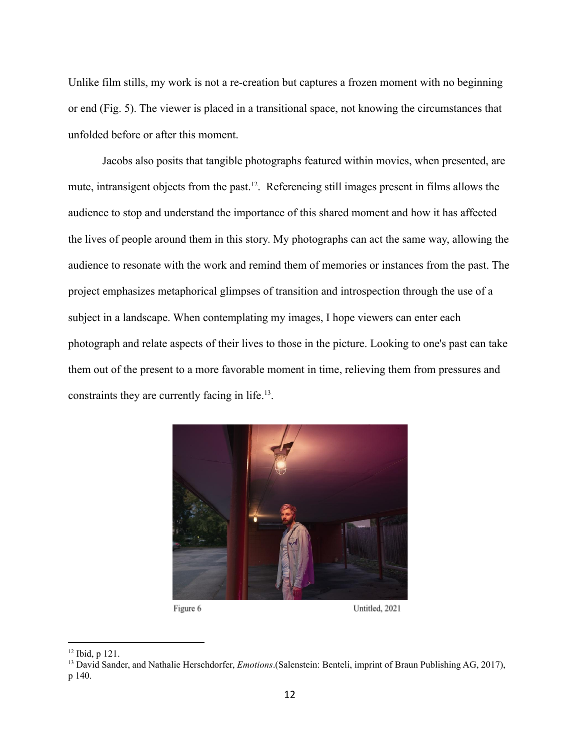Unlike film stills, my work is not a re-creation but captures a frozen moment with no beginning or end (Fig. 5). The viewer is placed in a transitional space, not knowing the circumstances that unfolded before or after this moment.

Jacobs also posits that tangible photographs featured within movies, when presented, are mute, intransigent objects from the past.<sup>12</sup>. Referencing still images present in films allows the audience to stop and understand the importance of this shared moment and how it has affected the lives of people around them in this story. My photographs can act the same way, allowing the audience to resonate with the work and remind them of memories or instances from the past. The project emphasizes metaphorical glimpses of transition and introspection through the use of a subject in a landscape. When contemplating my images, I hope viewers can enter each photograph and relate aspects of their lives to those in the picture. Looking to one's past can take them out of the present to a more favorable moment in time, relieving them from pressures and constraints they are currently facing in life.<sup>13</sup>.



Figure 6

Untitled, 2021

<sup>12</sup> Ibid, p 121.

<sup>&</sup>lt;sup>13</sup> David Sander, and Nathalie Herschdorfer, *Emotions*.(Salenstein: Benteli, imprint of Braun Publishing AG, 2017), p 140.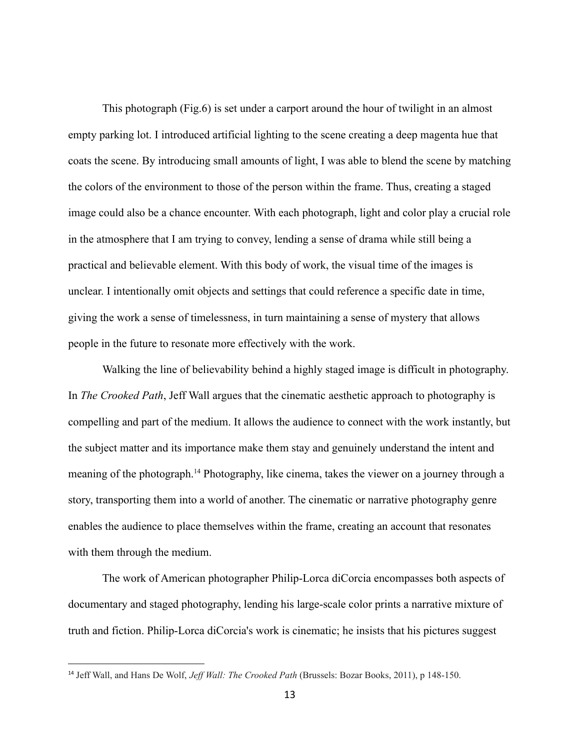This photograph (Fig.6) is set under a carport around the hour of twilight in an almost empty parking lot. I introduced artificial lighting to the scene creating a deep magenta hue that coats the scene. By introducing small amounts of light, I was able to blend the scene by matching the colors of the environment to those of the person within the frame. Thus, creating a staged image could also be a chance encounter. With each photograph, light and color play a crucial role in the atmosphere that I am trying to convey, lending a sense of drama while still being a practical and believable element. With this body of work, the visual time of the images is unclear. I intentionally omit objects and settings that could reference a specific date in time, giving the work a sense of timelessness, in turn maintaining a sense of mystery that allows people in the future to resonate more effectively with the work.

Walking the line of believability behind a highly staged image is difficult in photography. In *The Crooked Path*, Jeff Wall argues that the cinematic aesthetic approach to photography is compelling and part of the medium. It allows the audience to connect with the work instantly, but the subject matter and its importance make them stay and genuinely understand the intent and meaning of the photograph.<sup>14</sup> Photography, like cinema, takes the viewer on a journey through a story, transporting them into a world of another. The cinematic or narrative photography genre enables the audience to place themselves within the frame, creating an account that resonates with them through the medium.

The work of American photographer Philip-Lorca diCorcia encompasses both aspects of documentary and staged photography, lending his large-scale color prints a narrative mixture of truth and fiction. Philip-Lorca diCorcia's work is cinematic; he insists that his pictures suggest

<sup>14</sup> Jeff Wall, and Hans De Wolf, *Jef Wall: The Crooked Path* (Brussels: Bozar Books, 2011), p 148-150.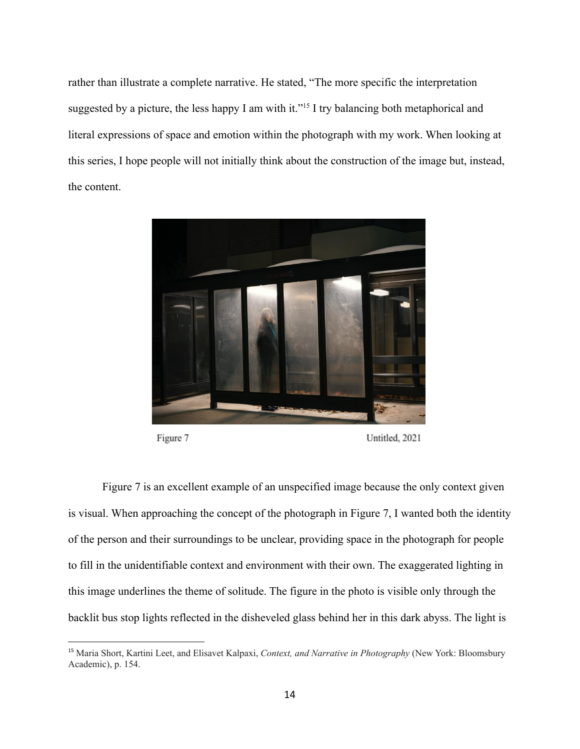rather than illustrate a complete narrative. He stated, "The more specific the interpretation suggested by a picture, the less happy I am with it."<sup>15</sup> I try balancing both metaphorical and literal expressions of space and emotion within the photograph with my work. When looking at this series, I hope people will not initially think about the construction of the image but, instead, the content.



Figure 7

Untitled, 2021

Figure 7 is an excellent example of an unspecified image because the only context given is visual. When approaching the concept of the photograph in Figure 7, I wanted both the identity of the person and their surroundings to be unclear, providing space in the photograph for people to fill in the unidentifiable context and environment with their own. The exaggerated lighting in this image underlines the theme of solitude. The figure in the photo is visible only through the backlit bus stop lights reflected in the disheveled glass behind her in this dark abyss. The light is

<sup>15</sup> Maria Short, Kartini Leet, and Elisavet Kalpaxi, *Context, and Narrative in Photography* (New York: Bloomsbury Academic), p. 154.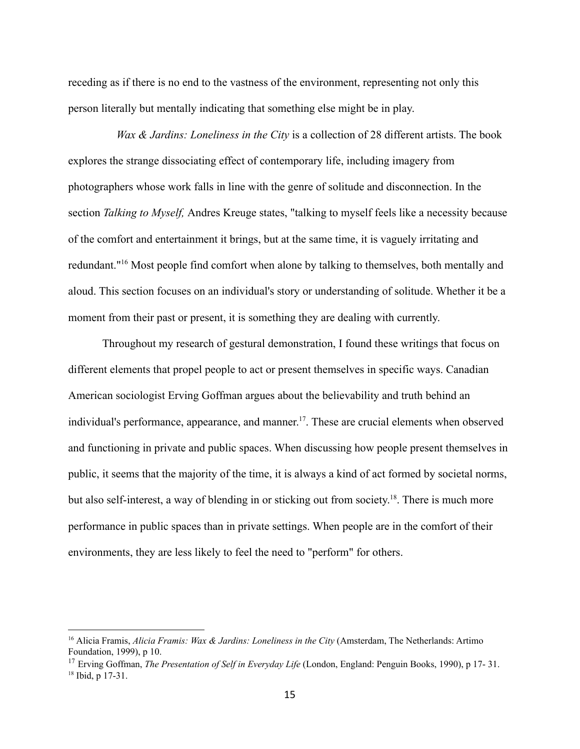receding as if there is no end to the vastness of the environment, representing not only this person literally but mentally indicating that something else might be in play.

*Wax & Jardins: Loneliness in the City* is a collection of 28 different artists. The book explores the strange dissociating effect of contemporary life, including imagery from photographers whose work falls in line with the genre of solitude and disconnection. In the section *Talking to Myself,* Andres Kreuge states, "talking to myself feels like a necessity because of the comfort and entertainment it brings, but at the same time, it is vaguely irritating and redundant."<sup>16</sup> Most people find comfort when alone by talking to themselves, both mentally and aloud. This section focuses on an individual's story or understanding of solitude. Whether it be a moment from their past or present, it is something they are dealing with currently.

Throughout my research of gestural demonstration, I found these writings that focus on different elements that propel people to act or present themselves in specific ways. Canadian American sociologist Erving Goffman argues about the believability and truth behind an individual's performance, appearance, and manner. 17 . These are crucial elements when observed and functioning in private and public spaces. When discussing how people present themselves in public, it seems that the majority of the time, it is always a kind of act formed by societal norms, but also self-interest, a way of blending in or sticking out from society.<sup>18</sup>. There is much more performance in public spaces than in private settings. When people are in the comfort of their environments, they are less likely to feel the need to "perform" for others.

<sup>16</sup> Alicia Framis, *Alicia Framis: Wax & Jardins: Loneliness in the City* (Amsterdam, The Netherlands: Artimo Foundation, 1999), p 10.

 $18$  Ibid, p 17-31. <sup>17</sup> Erving Goffman, *The Presentation of Self in Everyday Life* (London, England: Penguin Books, 1990), p 17- 31.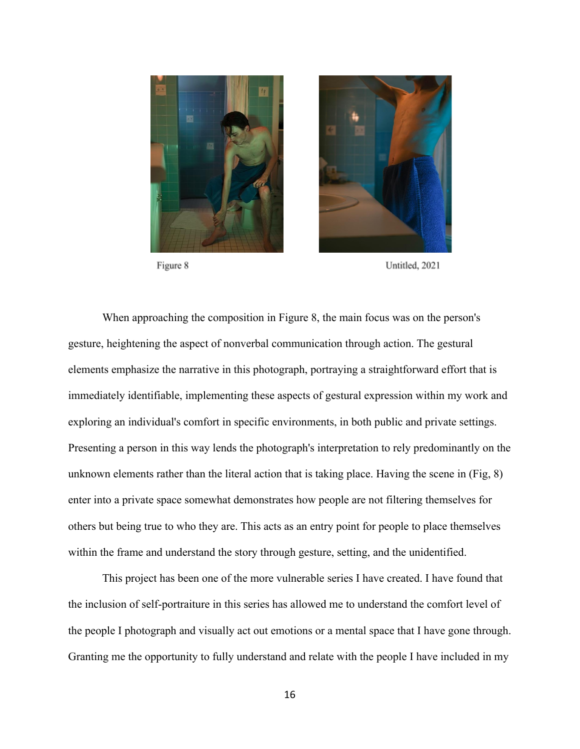

Figure 8



Untitled, 2021

When approaching the composition in Figure 8, the main focus was on the person's gesture, heightening the aspect of nonverbal communication through action. The gestural elements emphasize the narrative in this photograph, portraying a straightforward effort that is immediately identifiable, implementing these aspects of gestural expression within my work and exploring an individual's comfort in specific environments, in both public and private settings. Presenting a person in this way lends the photograph's interpretation to rely predominantly on the unknown elements rather than the literal action that is taking place. Having the scene in (Fig, 8) enter into a private space somewhat demonstrates how people are not filtering themselves for others but being true to who they are. This acts as an entry point for people to place themselves within the frame and understand the story through gesture, setting, and the unidentified.

This project has been one of the more vulnerable series I have created. I have found that the inclusion of self-portraiture in this series has allowed me to understand the comfort level of the people I photograph and visually act out emotions or a mental space that I have gone through. Granting me the opportunity to fully understand and relate with the people I have included in my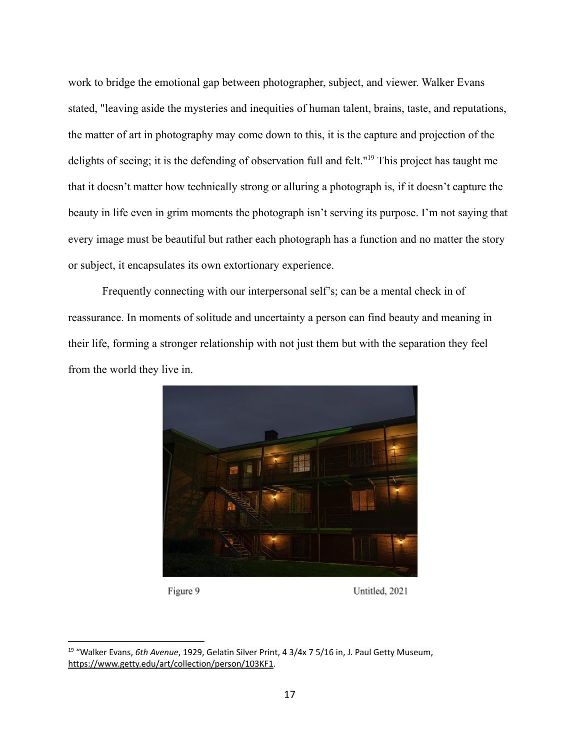work to bridge the emotional gap between photographer, subject, and viewer. Walker Evans stated, "leaving aside the mysteries and inequities of human talent, brains, taste, and reputations, the matter of art in photography may come down to this, it is the capture and projection of the delights of seeing; it is the defending of observation full and felt."<sup>19</sup> This project has taught me that it doesn't matter how technically strong or alluring a photograph is, if it doesn't capture the beauty in life even in grim moments the photograph isn't serving its purpose. I'm not saying that every image must be beautiful but rather each photograph has a function and no matter the story or subject, it encapsulates its own extortionary experience.

Frequently connecting with our interpersonal self's; can be a mental check in of reassurance. In moments of solitude and uncertainty a person can find beauty and meaning in their life, forming a stronger relationship with not just them but with the separation they feel from the world they live in.



Figure 9

Untitled, 2021

<sup>19</sup> "Walker Evans, *6th Avenue*, 1929, Gelatin Silver Print, 4 3/4x 7 5/16 in, J. Paul Getty Museum, [https://www.getty.edu/art/collection/person/103KF1.](https://www.getty.edu/art/collection/person/103KF1)